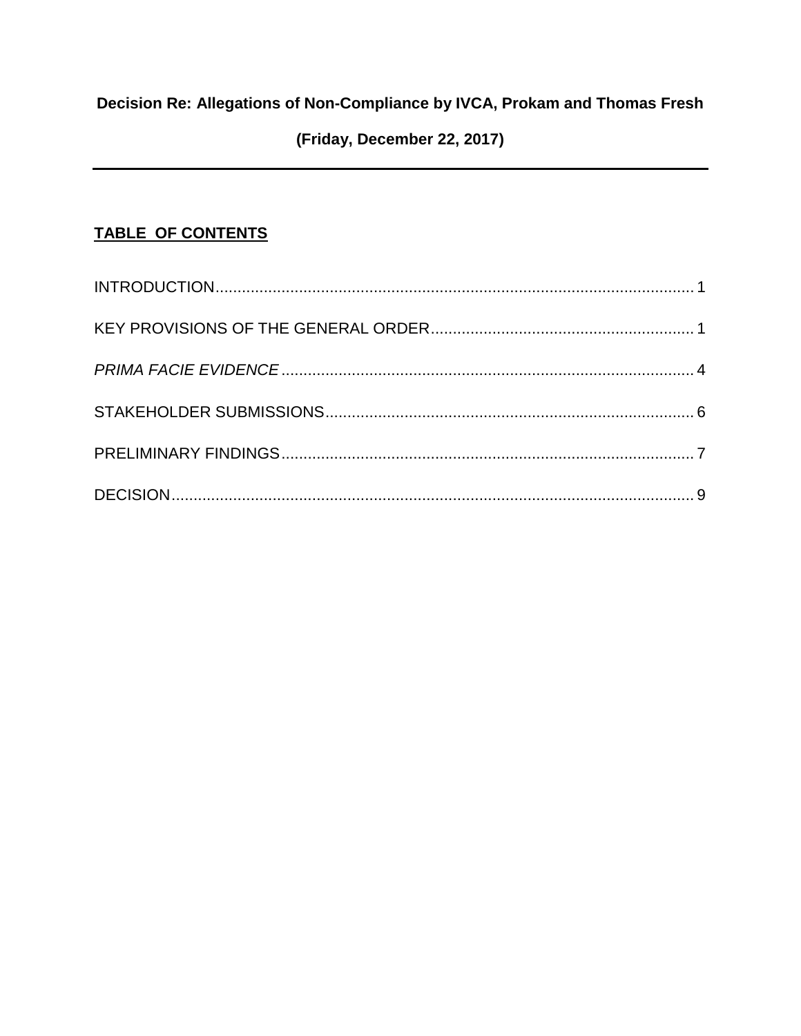# Decision Re: Allegations of Non-Compliance by IVCA, Prokam and Thomas Fresh

# (Friday, December 22, 2017)

# TABLE OF CONTENTS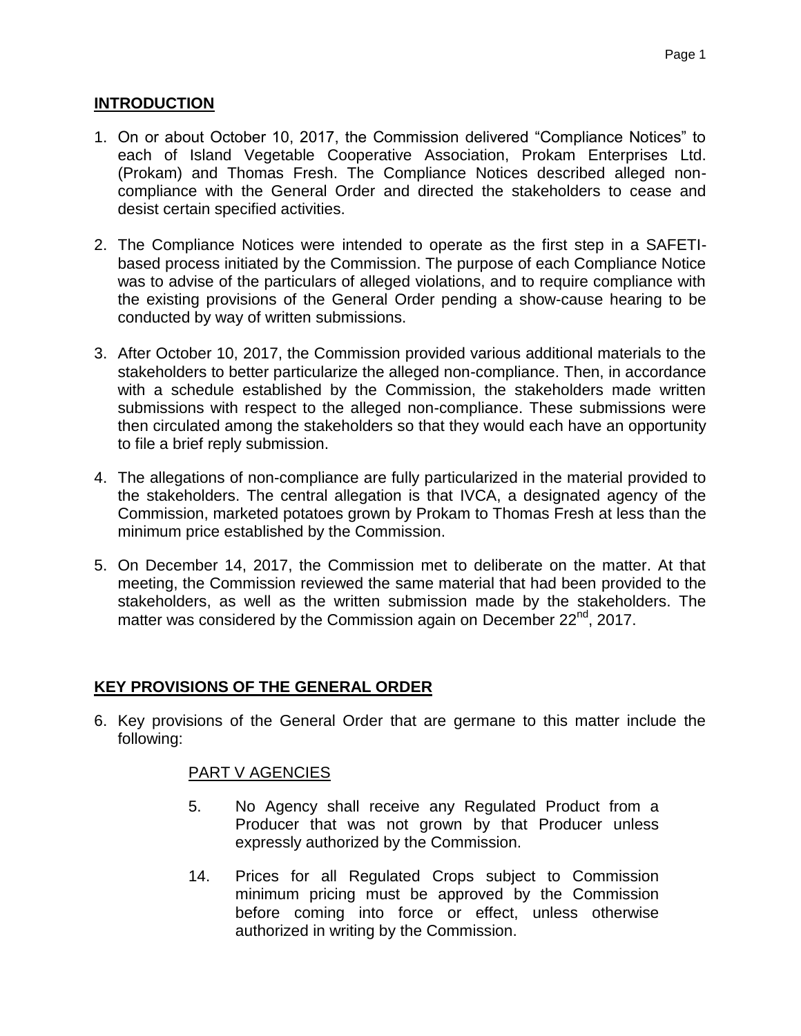### <span id="page-1-0"></span>**INTRODUCTION**

- 1. On or about October 10, 2017, the Commission delivered "Compliance Notices" to each of Island Vegetable Cooperative Association, Prokam Enterprises Ltd. (Prokam) and Thomas Fresh. The Compliance Notices described alleged noncompliance with the General Order and directed the stakeholders to cease and desist certain specified activities.
- 2. The Compliance Notices were intended to operate as the first step in a SAFETIbased process initiated by the Commission. The purpose of each Compliance Notice was to advise of the particulars of alleged violations, and to require compliance with the existing provisions of the General Order pending a show-cause hearing to be conducted by way of written submissions.
- 3. After October 10, 2017, the Commission provided various additional materials to the stakeholders to better particularize the alleged non-compliance. Then, in accordance with a schedule established by the Commission, the stakeholders made written submissions with respect to the alleged non-compliance. These submissions were then circulated among the stakeholders so that they would each have an opportunity to file a brief reply submission.
- 4. The allegations of non-compliance are fully particularized in the material provided to the stakeholders. The central allegation is that IVCA, a designated agency of the Commission, marketed potatoes grown by Prokam to Thomas Fresh at less than the minimum price established by the Commission.
- 5. On December 14, 2017, the Commission met to deliberate on the matter. At that meeting, the Commission reviewed the same material that had been provided to the stakeholders, as well as the written submission made by the stakeholders. The matter was considered by the Commission again on December 22<sup>nd</sup>, 2017.

# <span id="page-1-1"></span>**KEY PROVISIONS OF THE GENERAL ORDER**

6. Key provisions of the General Order that are germane to this matter include the following:

### PART V AGENCIES

- 5. No Agency shall receive any Regulated Product from a Producer that was not grown by that Producer unless expressly authorized by the Commission.
- 14. Prices for all Regulated Crops subject to Commission minimum pricing must be approved by the Commission before coming into force or effect, unless otherwise authorized in writing by the Commission.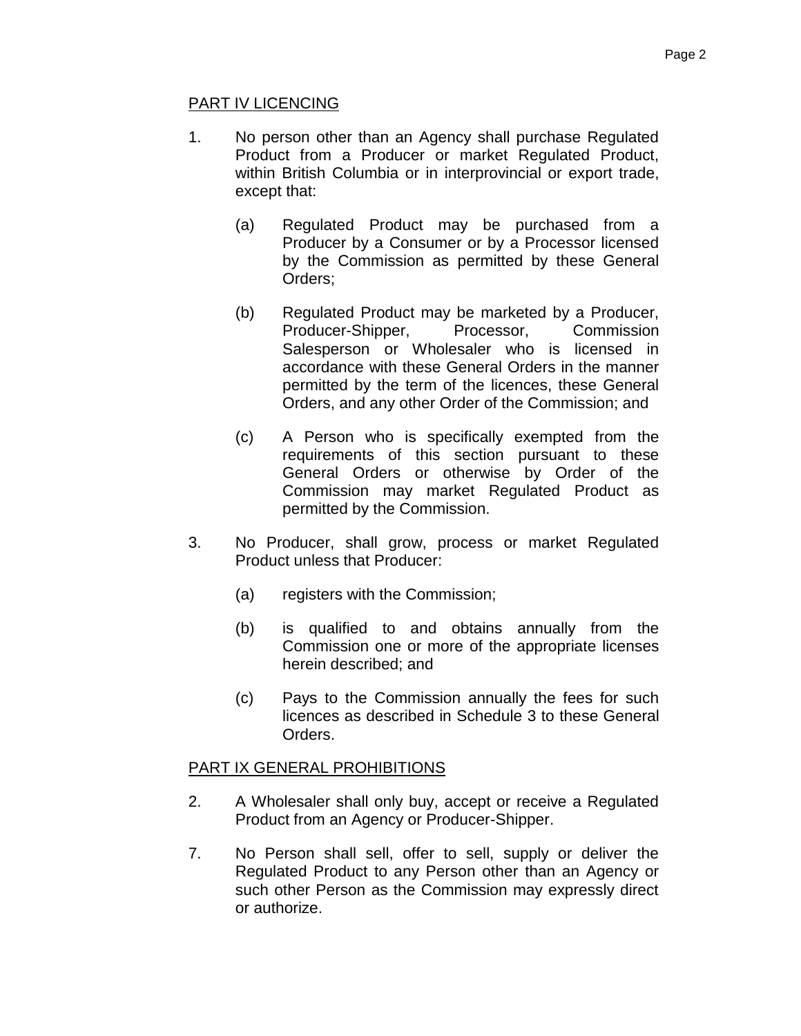#### PART IV LICENCING

- 1. No person other than an Agency shall purchase Regulated Product from a Producer or market Regulated Product, within British Columbia or in interprovincial or export trade, except that:
	- (a) Regulated Product may be purchased from a Producer by a Consumer or by a Processor licensed by the Commission as permitted by these General Orders;
	- (b) Regulated Product may be marketed by a Producer, Producer-Shipper, Processor, Commission Salesperson or Wholesaler who is licensed in accordance with these General Orders in the manner permitted by the term of the licences, these General Orders, and any other Order of the Commission; and
	- (c) A Person who is specifically exempted from the requirements of this section pursuant to these General Orders or otherwise by Order of the Commission may market Regulated Product as permitted by the Commission.
- 3. No Producer, shall grow, process or market Regulated Product unless that Producer:
	- (a) registers with the Commission;
	- (b) is qualified to and obtains annually from the Commission one or more of the appropriate licenses herein described; and
	- (c) Pays to the Commission annually the fees for such licences as described in Schedule 3 to these General Orders.

### PART IX GENERAL PROHIBITIONS

- 2. A Wholesaler shall only buy, accept or receive a Regulated Product from an Agency or Producer-Shipper.
- 7. No Person shall sell, offer to sell, supply or deliver the Regulated Product to any Person other than an Agency or such other Person as the Commission may expressly direct or authorize.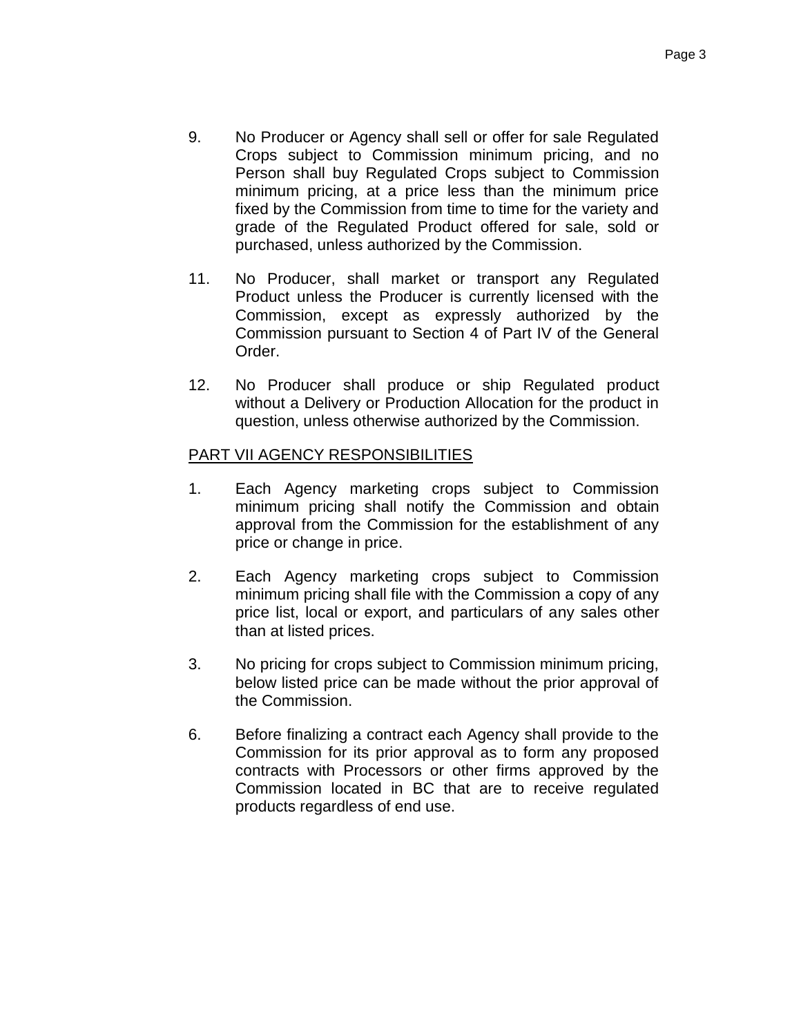- 9. No Producer or Agency shall sell or offer for sale Regulated Crops subject to Commission minimum pricing, and no Person shall buy Regulated Crops subject to Commission minimum pricing, at a price less than the minimum price fixed by the Commission from time to time for the variety and grade of the Regulated Product offered for sale, sold or purchased, unless authorized by the Commission.
- 11. No Producer, shall market or transport any Regulated Product unless the Producer is currently licensed with the Commission, except as expressly authorized by the Commission pursuant to Section 4 of Part IV of the General Order.
- 12. No Producer shall produce or ship Regulated product without a Delivery or Production Allocation for the product in question, unless otherwise authorized by the Commission.

### PART VII AGENCY RESPONSIBILITIES

- 1. Each Agency marketing crops subject to Commission minimum pricing shall notify the Commission and obtain approval from the Commission for the establishment of any price or change in price.
- 2. Each Agency marketing crops subject to Commission minimum pricing shall file with the Commission a copy of any price list, local or export, and particulars of any sales other than at listed prices.
- 3. No pricing for crops subject to Commission minimum pricing, below listed price can be made without the prior approval of the Commission.
- 6. Before finalizing a contract each Agency shall provide to the Commission for its prior approval as to form any proposed contracts with Processors or other firms approved by the Commission located in BC that are to receive regulated products regardless of end use.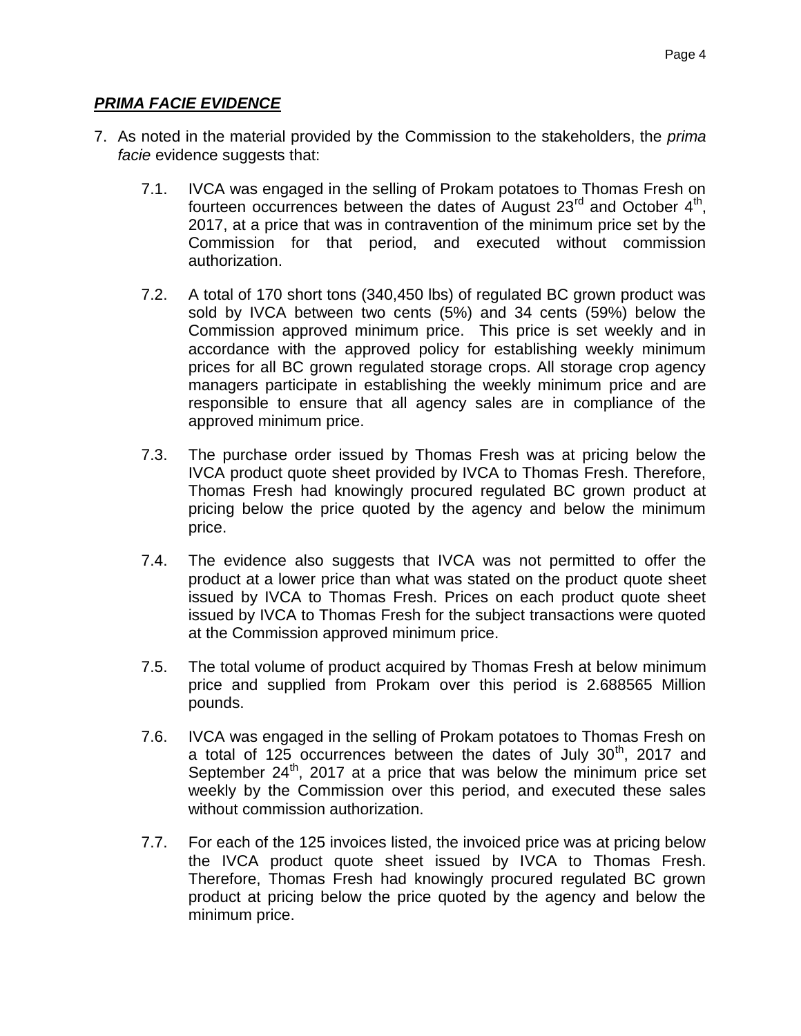## <span id="page-4-0"></span>*PRIMA FACIE EVIDENCE*

- 7. As noted in the material provided by the Commission to the stakeholders, the *prima facie* evidence suggests that:
	- 7.1. IVCA was engaged in the selling of Prokam potatoes to Thomas Fresh on fourteen occurrences between the dates of August  $23<sup>rd</sup>$  and October  $4<sup>th</sup>$ , 2017, at a price that was in contravention of the minimum price set by the Commission for that period, and executed without commission authorization.
	- 7.2. A total of 170 short tons (340,450 lbs) of regulated BC grown product was sold by IVCA between two cents (5%) and 34 cents (59%) below the Commission approved minimum price. This price is set weekly and in accordance with the approved policy for establishing weekly minimum prices for all BC grown regulated storage crops. All storage crop agency managers participate in establishing the weekly minimum price and are responsible to ensure that all agency sales are in compliance of the approved minimum price.
	- 7.3. The purchase order issued by Thomas Fresh was at pricing below the IVCA product quote sheet provided by IVCA to Thomas Fresh. Therefore, Thomas Fresh had knowingly procured regulated BC grown product at pricing below the price quoted by the agency and below the minimum price.
	- 7.4. The evidence also suggests that IVCA was not permitted to offer the product at a lower price than what was stated on the product quote sheet issued by IVCA to Thomas Fresh. Prices on each product quote sheet issued by IVCA to Thomas Fresh for the subject transactions were quoted at the Commission approved minimum price.
	- 7.5. The total volume of product acquired by Thomas Fresh at below minimum price and supplied from Prokam over this period is 2.688565 Million pounds.
	- 7.6. IVCA was engaged in the selling of Prokam potatoes to Thomas Fresh on a total of  $125$  occurrences between the dates of July  $30<sup>th</sup>$ , 2017 and September  $24^{th}$ , 2017 at a price that was below the minimum price set weekly by the Commission over this period, and executed these sales without commission authorization.
	- 7.7. For each of the 125 invoices listed, the invoiced price was at pricing below the IVCA product quote sheet issued by IVCA to Thomas Fresh. Therefore, Thomas Fresh had knowingly procured regulated BC grown product at pricing below the price quoted by the agency and below the minimum price.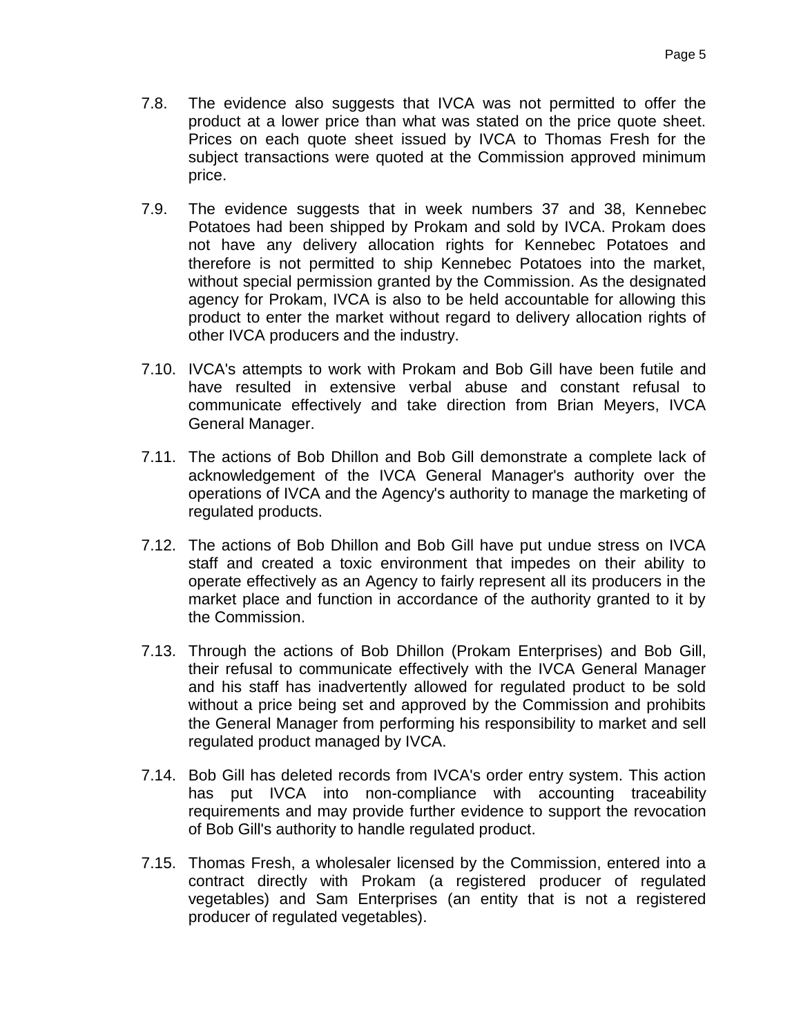- 7.8. The evidence also suggests that IVCA was not permitted to offer the product at a lower price than what was stated on the price quote sheet. Prices on each quote sheet issued by IVCA to Thomas Fresh for the subject transactions were quoted at the Commission approved minimum price.
- 7.9. The evidence suggests that in week numbers 37 and 38, Kennebec Potatoes had been shipped by Prokam and sold by IVCA. Prokam does not have any delivery allocation rights for Kennebec Potatoes and therefore is not permitted to ship Kennebec Potatoes into the market, without special permission granted by the Commission. As the designated agency for Prokam, IVCA is also to be held accountable for allowing this product to enter the market without regard to delivery allocation rights of other IVCA producers and the industry.
- 7.10. IVCA's attempts to work with Prokam and Bob Gill have been futile and have resulted in extensive verbal abuse and constant refusal to communicate effectively and take direction from Brian Meyers, IVCA General Manager.
- 7.11. The actions of Bob Dhillon and Bob Gill demonstrate a complete lack of acknowledgement of the IVCA General Manager's authority over the operations of IVCA and the Agency's authority to manage the marketing of regulated products.
- 7.12. The actions of Bob Dhillon and Bob Gill have put undue stress on IVCA staff and created a toxic environment that impedes on their ability to operate effectively as an Agency to fairly represent all its producers in the market place and function in accordance of the authority granted to it by the Commission.
- 7.13. Through the actions of Bob Dhillon (Prokam Enterprises) and Bob Gill, their refusal to communicate effectively with the IVCA General Manager and his staff has inadvertently allowed for regulated product to be sold without a price being set and approved by the Commission and prohibits the General Manager from performing his responsibility to market and sell regulated product managed by IVCA.
- 7.14. Bob Gill has deleted records from IVCA's order entry system. This action has put IVCA into non-compliance with accounting traceability requirements and may provide further evidence to support the revocation of Bob Gill's authority to handle regulated product.
- 7.15. Thomas Fresh, a wholesaler licensed by the Commission, entered into a contract directly with Prokam (a registered producer of regulated vegetables) and Sam Enterprises (an entity that is not a registered producer of regulated vegetables).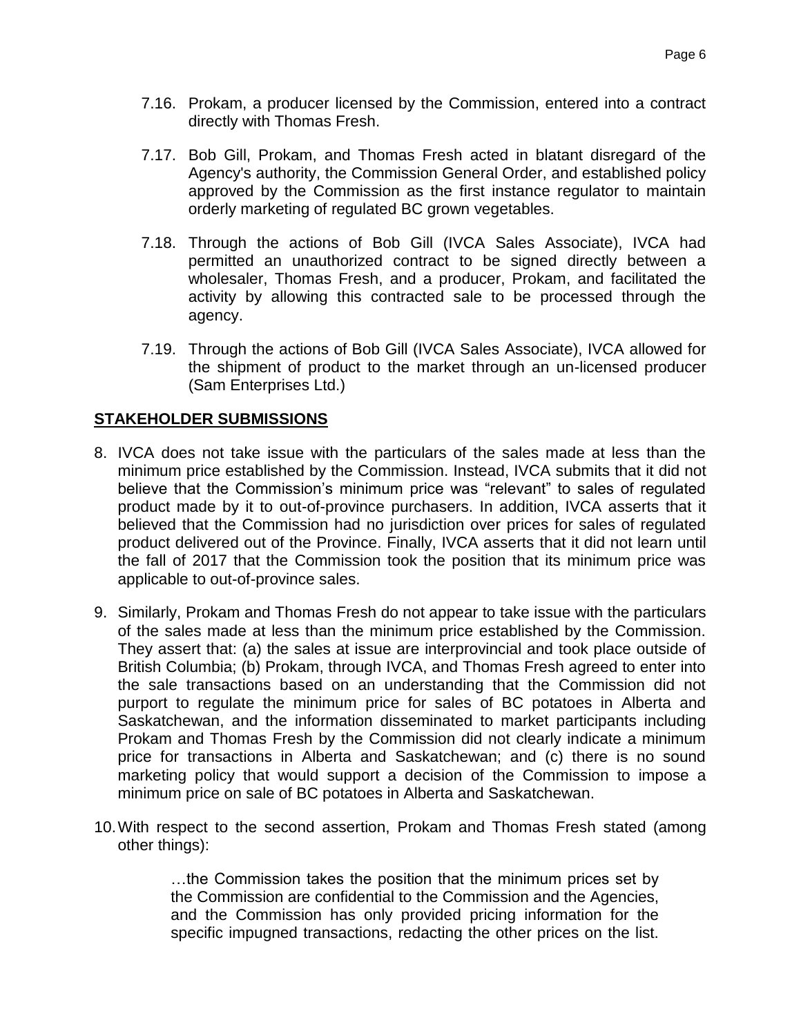- 7.16. Prokam, a producer licensed by the Commission, entered into a contract directly with Thomas Fresh.
- 7.17. Bob Gill, Prokam, and Thomas Fresh acted in blatant disregard of the Agency's authority, the Commission General Order, and established policy approved by the Commission as the first instance regulator to maintain orderly marketing of regulated BC grown vegetables.
- 7.18. Through the actions of Bob Gill (IVCA Sales Associate), IVCA had permitted an unauthorized contract to be signed directly between a wholesaler, Thomas Fresh, and a producer, Prokam, and facilitated the activity by allowing this contracted sale to be processed through the agency.
- 7.19. Through the actions of Bob Gill (IVCA Sales Associate), IVCA allowed for the shipment of product to the market through an un-licensed producer (Sam Enterprises Ltd.)

### <span id="page-6-0"></span>**STAKEHOLDER SUBMISSIONS**

- 8. IVCA does not take issue with the particulars of the sales made at less than the minimum price established by the Commission. Instead, IVCA submits that it did not believe that the Commission's minimum price was "relevant" to sales of regulated product made by it to out-of-province purchasers. In addition, IVCA asserts that it believed that the Commission had no jurisdiction over prices for sales of regulated product delivered out of the Province. Finally, IVCA asserts that it did not learn until the fall of 2017 that the Commission took the position that its minimum price was applicable to out-of-province sales.
- 9. Similarly, Prokam and Thomas Fresh do not appear to take issue with the particulars of the sales made at less than the minimum price established by the Commission. They assert that: (a) the sales at issue are interprovincial and took place outside of British Columbia; (b) Prokam, through IVCA, and Thomas Fresh agreed to enter into the sale transactions based on an understanding that the Commission did not purport to regulate the minimum price for sales of BC potatoes in Alberta and Saskatchewan, and the information disseminated to market participants including Prokam and Thomas Fresh by the Commission did not clearly indicate a minimum price for transactions in Alberta and Saskatchewan; and (c) there is no sound marketing policy that would support a decision of the Commission to impose a minimum price on sale of BC potatoes in Alberta and Saskatchewan.
- 10.With respect to the second assertion, Prokam and Thomas Fresh stated (among other things):

…the Commission takes the position that the minimum prices set by the Commission are confidential to the Commission and the Agencies, and the Commission has only provided pricing information for the specific impugned transactions, redacting the other prices on the list.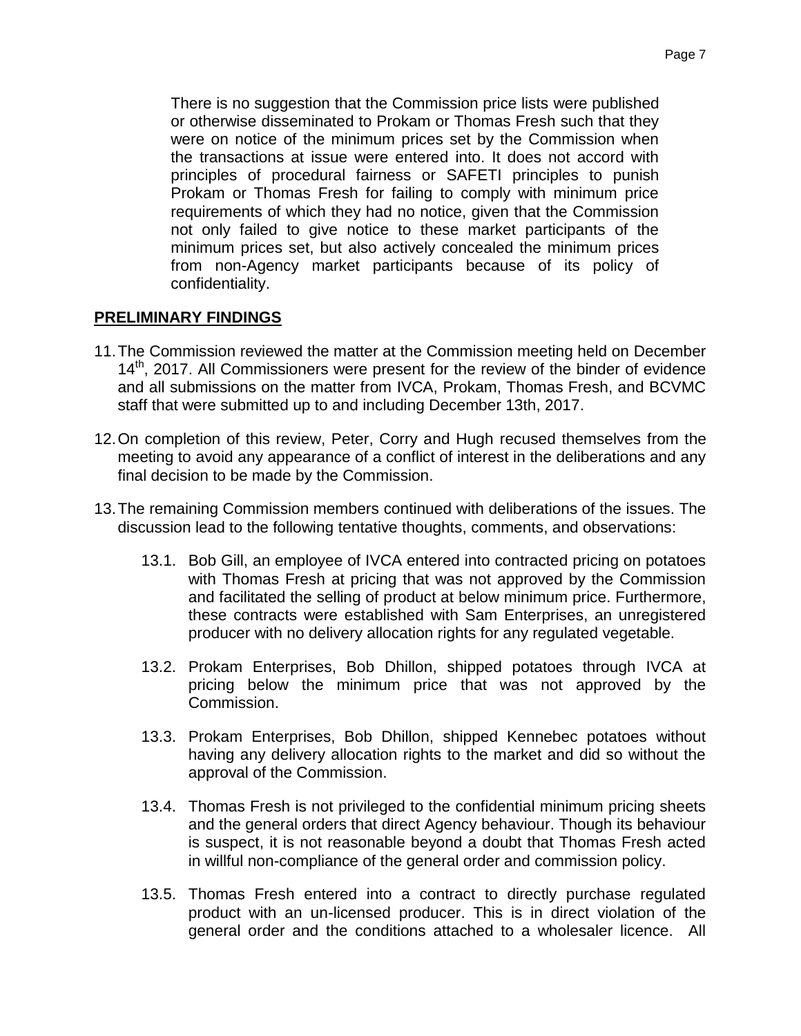There is no suggestion that the Commission price lists were published or otherwise disseminated to Prokam or Thomas Fresh such that they were on notice of the minimum prices set by the Commission when the transactions at issue were entered into. It does not accord with principles of procedural fairness or SAFETI principles to punish Prokam or Thomas Fresh for failing to comply with minimum price requirements of which they had no notice, given that the Commission not only failed to give notice to these market participants of the minimum prices set, but also actively concealed the minimum prices from non-Agency market participants because of its policy of confidentiality.

### <span id="page-7-0"></span>**PRELIMINARY FINDINGS**

- 11.The Commission reviewed the matter at the Commission meeting held on December 14<sup>th</sup>, 2017. All Commissioners were present for the review of the binder of evidence and all submissions on the matter from IVCA, Prokam, Thomas Fresh, and BCVMC staff that were submitted up to and including December 13th, 2017.
- 12.On completion of this review, Peter, Corry and Hugh recused themselves from the meeting to avoid any appearance of a conflict of interest in the deliberations and any final decision to be made by the Commission.
- 13.The remaining Commission members continued with deliberations of the issues. The discussion lead to the following tentative thoughts, comments, and observations:
	- 13.1. Bob Gill, an employee of IVCA entered into contracted pricing on potatoes with Thomas Fresh at pricing that was not approved by the Commission and facilitated the selling of product at below minimum price. Furthermore, these contracts were established with Sam Enterprises, an unregistered producer with no delivery allocation rights for any regulated vegetable.
	- 13.2. Prokam Enterprises, Bob Dhillon, shipped potatoes through IVCA at pricing below the minimum price that was not approved by the Commission.
	- 13.3. Prokam Enterprises, Bob Dhillon, shipped Kennebec potatoes without having any delivery allocation rights to the market and did so without the approval of the Commission.
	- 13.4. Thomas Fresh is not privileged to the confidential minimum pricing sheets and the general orders that direct Agency behaviour. Though its behaviour is suspect, it is not reasonable beyond a doubt that Thomas Fresh acted in willful non-compliance of the general order and commission policy.
	- 13.5. Thomas Fresh entered into a contract to directly purchase regulated product with an un-licensed producer. This is in direct violation of the general order and the conditions attached to a wholesaler licence. All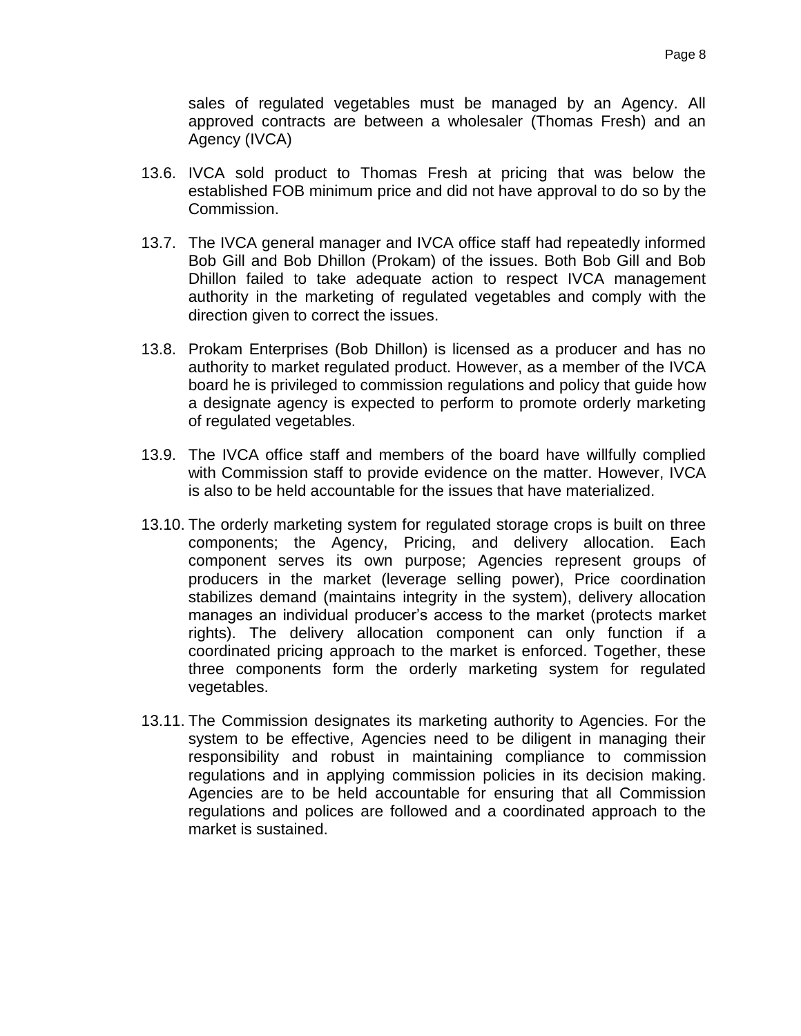sales of regulated vegetables must be managed by an Agency. All approved contracts are between a wholesaler (Thomas Fresh) and an Agency (IVCA)

- 13.6. IVCA sold product to Thomas Fresh at pricing that was below the established FOB minimum price and did not have approval to do so by the Commission.
- 13.7. The IVCA general manager and IVCA office staff had repeatedly informed Bob Gill and Bob Dhillon (Prokam) of the issues. Both Bob Gill and Bob Dhillon failed to take adequate action to respect IVCA management authority in the marketing of regulated vegetables and comply with the direction given to correct the issues.
- 13.8. Prokam Enterprises (Bob Dhillon) is licensed as a producer and has no authority to market regulated product. However, as a member of the IVCA board he is privileged to commission regulations and policy that guide how a designate agency is expected to perform to promote orderly marketing of regulated vegetables.
- 13.9. The IVCA office staff and members of the board have willfully complied with Commission staff to provide evidence on the matter. However, IVCA is also to be held accountable for the issues that have materialized.
- 13.10. The orderly marketing system for regulated storage crops is built on three components; the Agency, Pricing, and delivery allocation. Each component serves its own purpose; Agencies represent groups of producers in the market (leverage selling power), Price coordination stabilizes demand (maintains integrity in the system), delivery allocation manages an individual producer's access to the market (protects market rights). The delivery allocation component can only function if a coordinated pricing approach to the market is enforced. Together, these three components form the orderly marketing system for regulated vegetables.
- 13.11. The Commission designates its marketing authority to Agencies. For the system to be effective, Agencies need to be diligent in managing their responsibility and robust in maintaining compliance to commission regulations and in applying commission policies in its decision making. Agencies are to be held accountable for ensuring that all Commission regulations and polices are followed and a coordinated approach to the market is sustained.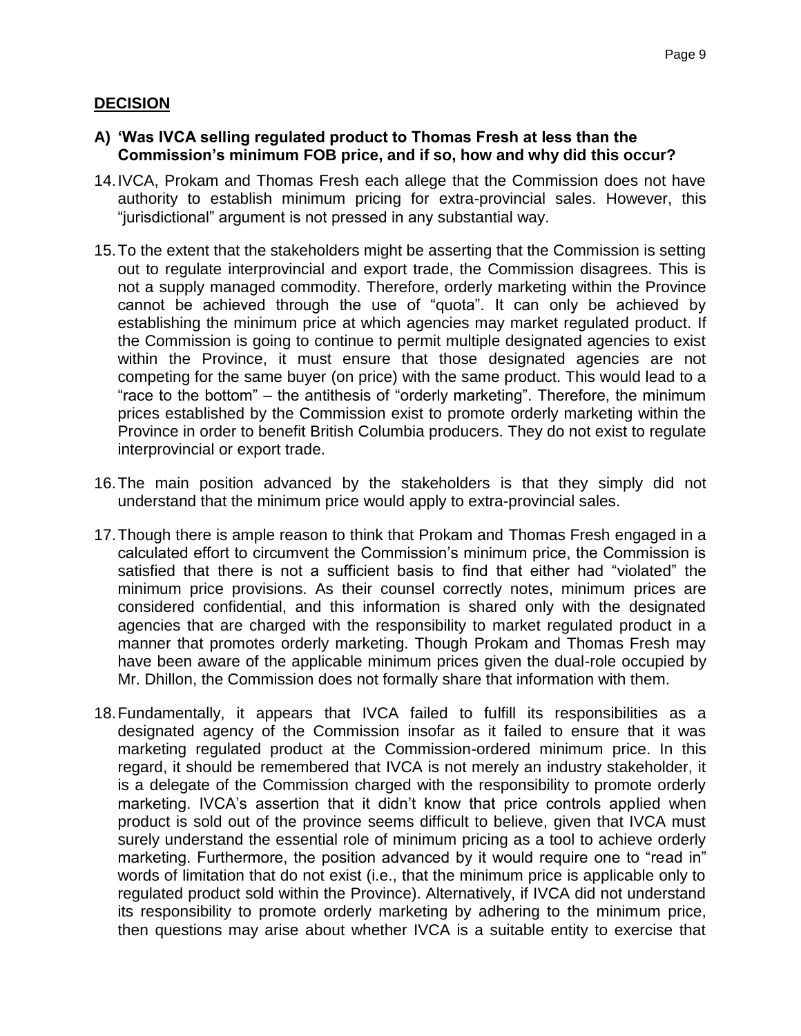# <span id="page-9-0"></span>**DECISION**

- **A) 'Was IVCA selling regulated product to Thomas Fresh at less than the Commission's minimum FOB price, and if so, how and why did this occur?**
- 14.IVCA, Prokam and Thomas Fresh each allege that the Commission does not have authority to establish minimum pricing for extra-provincial sales. However, this "jurisdictional" argument is not pressed in any substantial way.
- 15.To the extent that the stakeholders might be asserting that the Commission is setting out to regulate interprovincial and export trade, the Commission disagrees. This is not a supply managed commodity. Therefore, orderly marketing within the Province cannot be achieved through the use of "quota". It can only be achieved by establishing the minimum price at which agencies may market regulated product. If the Commission is going to continue to permit multiple designated agencies to exist within the Province, it must ensure that those designated agencies are not competing for the same buyer (on price) with the same product. This would lead to a "race to the bottom" – the antithesis of "orderly marketing". Therefore, the minimum prices established by the Commission exist to promote orderly marketing within the Province in order to benefit British Columbia producers. They do not exist to regulate interprovincial or export trade.
- 16.The main position advanced by the stakeholders is that they simply did not understand that the minimum price would apply to extra-provincial sales.
- 17.Though there is ample reason to think that Prokam and Thomas Fresh engaged in a calculated effort to circumvent the Commission's minimum price, the Commission is satisfied that there is not a sufficient basis to find that either had "violated" the minimum price provisions. As their counsel correctly notes, minimum prices are considered confidential, and this information is shared only with the designated agencies that are charged with the responsibility to market regulated product in a manner that promotes orderly marketing. Though Prokam and Thomas Fresh may have been aware of the applicable minimum prices given the dual-role occupied by Mr. Dhillon, the Commission does not formally share that information with them.
- 18.Fundamentally, it appears that IVCA failed to fulfill its responsibilities as a designated agency of the Commission insofar as it failed to ensure that it was marketing regulated product at the Commission-ordered minimum price. In this regard, it should be remembered that IVCA is not merely an industry stakeholder, it is a delegate of the Commission charged with the responsibility to promote orderly marketing. IVCA's assertion that it didn't know that price controls applied when product is sold out of the province seems difficult to believe, given that IVCA must surely understand the essential role of minimum pricing as a tool to achieve orderly marketing. Furthermore, the position advanced by it would require one to "read in" words of limitation that do not exist (i.e., that the minimum price is applicable only to regulated product sold within the Province). Alternatively, if IVCA did not understand its responsibility to promote orderly marketing by adhering to the minimum price, then questions may arise about whether IVCA is a suitable entity to exercise that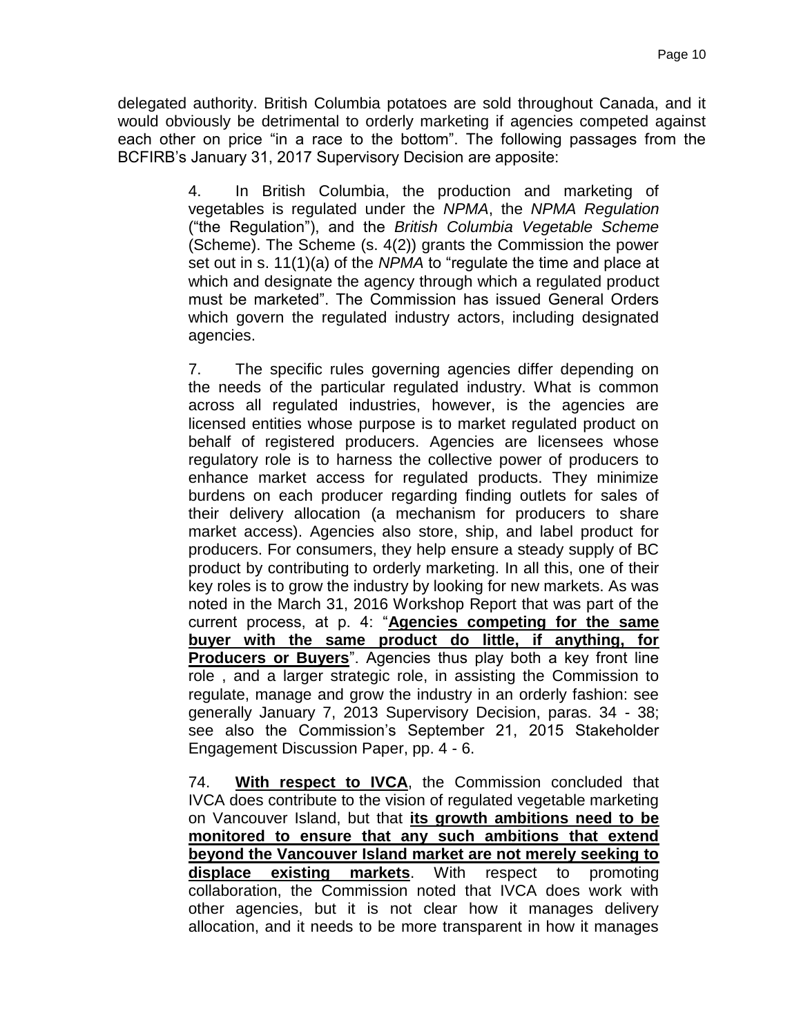delegated authority. British Columbia potatoes are sold throughout Canada, and it would obviously be detrimental to orderly marketing if agencies competed against each other on price "in a race to the bottom". The following passages from the BCFIRB's January 31, 2017 Supervisory Decision are apposite:

> 4. In British Columbia, the production and marketing of vegetables is regulated under the *NPMA*, the *NPMA Regulation*  ("the Regulation"), and the *British Columbia Vegetable Scheme* (Scheme). The Scheme (s. 4(2)) grants the Commission the power set out in s. 11(1)(a) of the *NPMA* to "regulate the time and place at which and designate the agency through which a regulated product must be marketed". The Commission has issued General Orders which govern the regulated industry actors, including designated agencies.

> 7. The specific rules governing agencies differ depending on the needs of the particular regulated industry. What is common across all regulated industries, however, is the agencies are licensed entities whose purpose is to market regulated product on behalf of registered producers. Agencies are licensees whose regulatory role is to harness the collective power of producers to enhance market access for regulated products. They minimize burdens on each producer regarding finding outlets for sales of their delivery allocation (a mechanism for producers to share market access). Agencies also store, ship, and label product for producers. For consumers, they help ensure a steady supply of BC product by contributing to orderly marketing. In all this, one of their key roles is to grow the industry by looking for new markets. As was noted in the March 31, 2016 Workshop Report that was part of the current process, at p. 4: "**Agencies competing for the same buyer with the same product do little, if anything, for Producers or Buyers**". Agencies thus play both a key front line role , and a larger strategic role, in assisting the Commission to regulate, manage and grow the industry in an orderly fashion: see generally January 7, 2013 Supervisory Decision, paras. 34 - 38; see also the Commission's September 21, 2015 Stakeholder Engagement Discussion Paper, pp. 4 - 6.

> 74. **With respect to IVCA**, the Commission concluded that IVCA does contribute to the vision of regulated vegetable marketing on Vancouver Island, but that **its growth ambitions need to be monitored to ensure that any such ambitions that extend beyond the Vancouver Island market are not merely seeking to displace existing markets**. With respect to promoting collaboration, the Commission noted that IVCA does work with other agencies, but it is not clear how it manages delivery allocation, and it needs to be more transparent in how it manages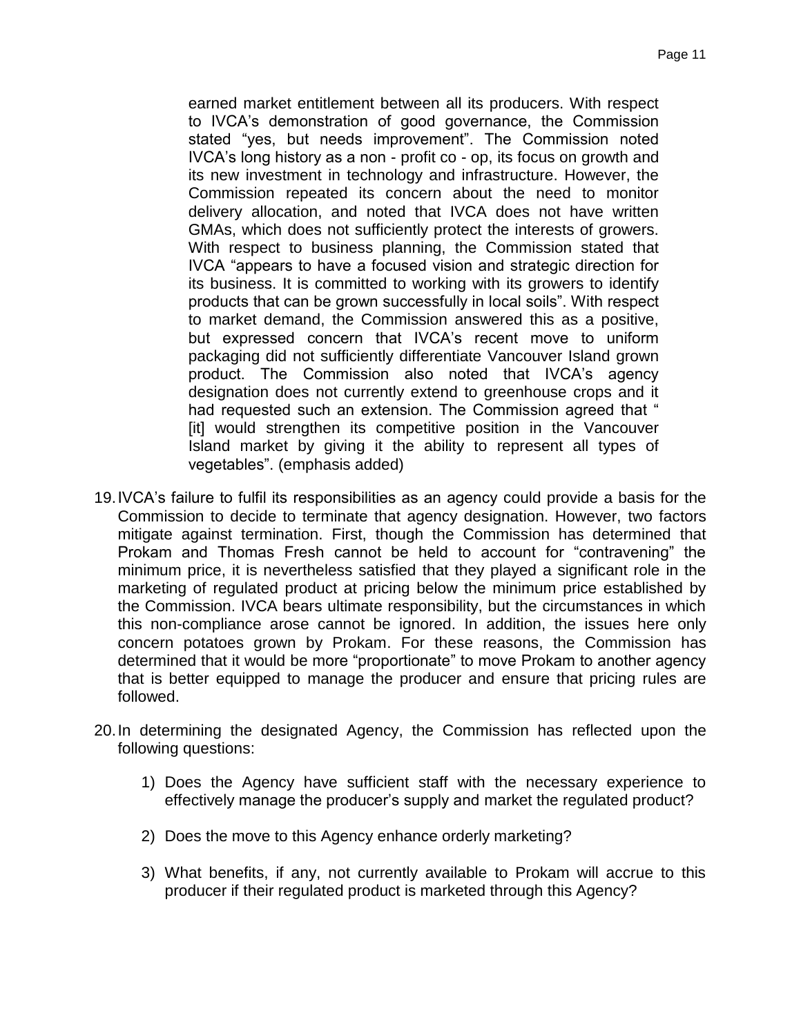earned market entitlement between all its producers. With respect to IVCA's demonstration of good governance, the Commission stated "yes, but needs improvement". The Commission noted IVCA's long history as a non - profit co - op, its focus on growth and its new investment in technology and infrastructure. However, the Commission repeated its concern about the need to monitor delivery allocation, and noted that IVCA does not have written GMAs, which does not sufficiently protect the interests of growers. With respect to business planning, the Commission stated that IVCA "appears to have a focused vision and strategic direction for its business. It is committed to working with its growers to identify products that can be grown successfully in local soils". With respect to market demand, the Commission answered this as a positive, but expressed concern that IVCA's recent move to uniform packaging did not sufficiently differentiate Vancouver Island grown product. The Commission also noted that IVCA's agency designation does not currently extend to greenhouse crops and it had requested such an extension. The Commission agreed that " [it] would strengthen its competitive position in the Vancouver Island market by giving it the ability to represent all types of vegetables". (emphasis added)

- 19.IVCA's failure to fulfil its responsibilities as an agency could provide a basis for the Commission to decide to terminate that agency designation. However, two factors mitigate against termination. First, though the Commission has determined that Prokam and Thomas Fresh cannot be held to account for "contravening" the minimum price, it is nevertheless satisfied that they played a significant role in the marketing of regulated product at pricing below the minimum price established by the Commission. IVCA bears ultimate responsibility, but the circumstances in which this non-compliance arose cannot be ignored. In addition, the issues here only concern potatoes grown by Prokam. For these reasons, the Commission has determined that it would be more "proportionate" to move Prokam to another agency that is better equipped to manage the producer and ensure that pricing rules are followed.
- 20.In determining the designated Agency, the Commission has reflected upon the following questions:
	- 1) Does the Agency have sufficient staff with the necessary experience to effectively manage the producer's supply and market the regulated product?
	- 2) Does the move to this Agency enhance orderly marketing?
	- 3) What benefits, if any, not currently available to Prokam will accrue to this producer if their regulated product is marketed through this Agency?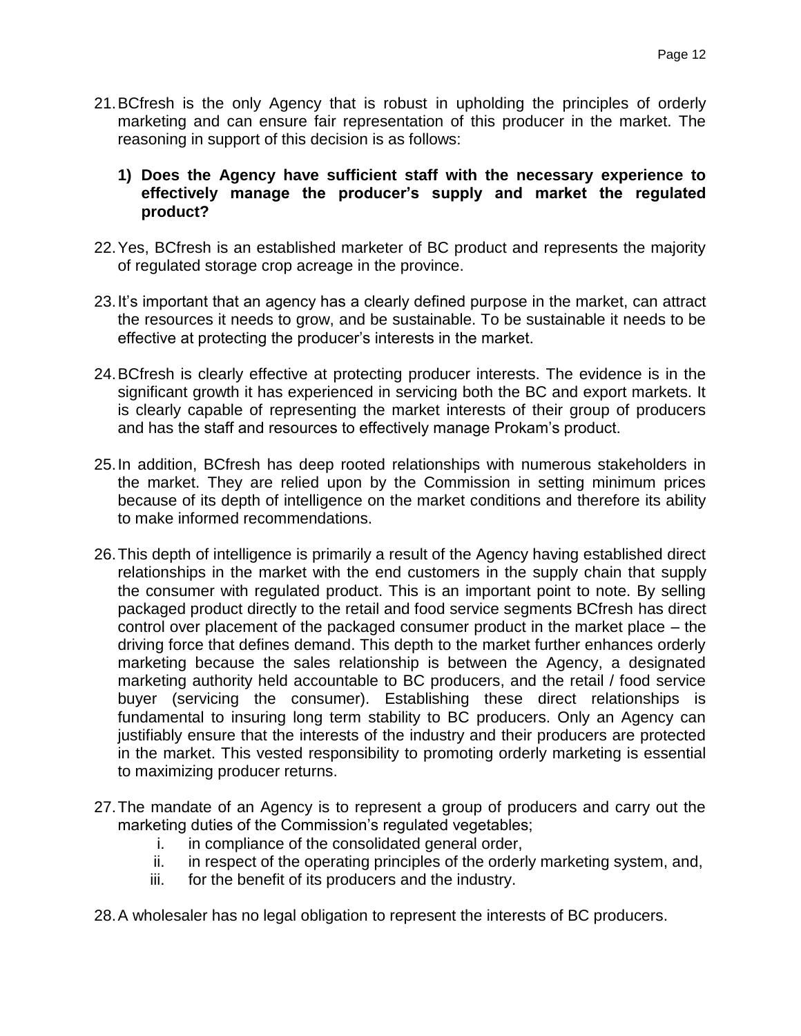- 21.BCfresh is the only Agency that is robust in upholding the principles of orderly marketing and can ensure fair representation of this producer in the market. The reasoning in support of this decision is as follows:
	- **1) Does the Agency have sufficient staff with the necessary experience to effectively manage the producer's supply and market the regulated product?**
- 22.Yes, BCfresh is an established marketer of BC product and represents the majority of regulated storage crop acreage in the province.
- 23.It's important that an agency has a clearly defined purpose in the market, can attract the resources it needs to grow, and be sustainable. To be sustainable it needs to be effective at protecting the producer's interests in the market.
- 24.BCfresh is clearly effective at protecting producer interests. The evidence is in the significant growth it has experienced in servicing both the BC and export markets. It is clearly capable of representing the market interests of their group of producers and has the staff and resources to effectively manage Prokam's product.
- 25.In addition, BCfresh has deep rooted relationships with numerous stakeholders in the market. They are relied upon by the Commission in setting minimum prices because of its depth of intelligence on the market conditions and therefore its ability to make informed recommendations.
- 26.This depth of intelligence is primarily a result of the Agency having established direct relationships in the market with the end customers in the supply chain that supply the consumer with regulated product. This is an important point to note. By selling packaged product directly to the retail and food service segments BCfresh has direct control over placement of the packaged consumer product in the market place – the driving force that defines demand. This depth to the market further enhances orderly marketing because the sales relationship is between the Agency, a designated marketing authority held accountable to BC producers, and the retail / food service buyer (servicing the consumer). Establishing these direct relationships is fundamental to insuring long term stability to BC producers. Only an Agency can justifiably ensure that the interests of the industry and their producers are protected in the market. This vested responsibility to promoting orderly marketing is essential to maximizing producer returns.
- 27.The mandate of an Agency is to represent a group of producers and carry out the marketing duties of the Commission's regulated vegetables;
	- i. in compliance of the consolidated general order,
	- ii. in respect of the operating principles of the orderly marketing system, and,
	- iii. for the benefit of its producers and the industry.
- 28.A wholesaler has no legal obligation to represent the interests of BC producers.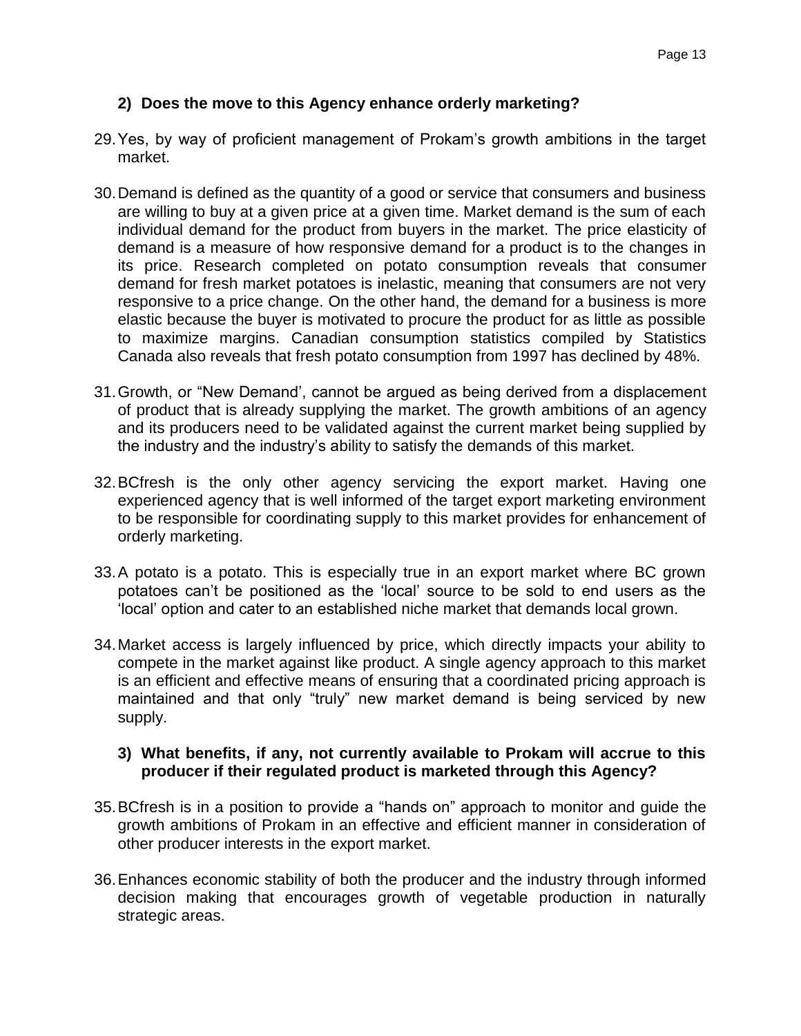# **2) Does the move to this Agency enhance orderly marketing?**

- 29.Yes, by way of proficient management of Prokam's growth ambitions in the target market.
- 30.Demand is defined as the quantity of a good or service that consumers and business are willing to buy at a given price at a given time. Market demand is the sum of each individual demand for the product from buyers in the market. The price elasticity of demand is a measure of how responsive demand for a product is to the changes in its price. Research completed on potato consumption reveals that consumer demand for fresh market potatoes is inelastic, meaning that consumers are not very responsive to a price change. On the other hand, the demand for a business is more elastic because the buyer is motivated to procure the product for as little as possible to maximize margins. Canadian consumption statistics compiled by Statistics Canada also reveals that fresh potato consumption from 1997 has declined by 48%.
- 31.Growth, or "New Demand', cannot be argued as being derived from a displacement of product that is already supplying the market. The growth ambitions of an agency and its producers need to be validated against the current market being supplied by the industry and the industry's ability to satisfy the demands of this market.
- 32.BCfresh is the only other agency servicing the export market. Having one experienced agency that is well informed of the target export marketing environment to be responsible for coordinating supply to this market provides for enhancement of orderly marketing.
- 33.A potato is a potato. This is especially true in an export market where BC grown potatoes can't be positioned as the 'local' source to be sold to end users as the 'local' option and cater to an established niche market that demands local grown.
- 34.Market access is largely influenced by price, which directly impacts your ability to compete in the market against like product. A single agency approach to this market is an efficient and effective means of ensuring that a coordinated pricing approach is maintained and that only "truly" new market demand is being serviced by new supply.

### **3) What benefits, if any, not currently available to Prokam will accrue to this producer if their regulated product is marketed through this Agency?**

- 35.BCfresh is in a position to provide a "hands on" approach to monitor and guide the growth ambitions of Prokam in an effective and efficient manner in consideration of other producer interests in the export market.
- 36.Enhances economic stability of both the producer and the industry through informed decision making that encourages growth of vegetable production in naturally strategic areas.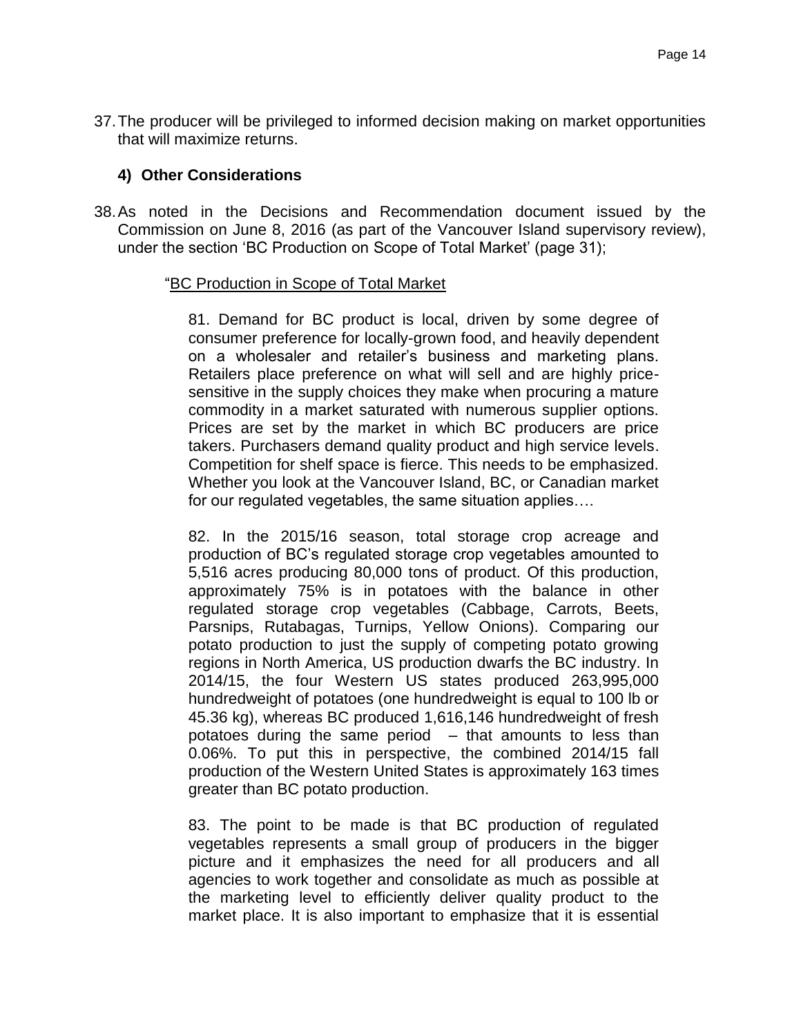37.The producer will be privileged to informed decision making on market opportunities that will maximize returns.

### **4) Other Considerations**

38.As noted in the Decisions and Recommendation document issued by the Commission on June 8, 2016 (as part of the Vancouver Island supervisory review), under the section 'BC Production on Scope of Total Market' (page 31);

#### "BC Production in Scope of Total Market

81. Demand for BC product is local, driven by some degree of consumer preference for locally-grown food, and heavily dependent on a wholesaler and retailer's business and marketing plans. Retailers place preference on what will sell and are highly pricesensitive in the supply choices they make when procuring a mature commodity in a market saturated with numerous supplier options. Prices are set by the market in which BC producers are price takers. Purchasers demand quality product and high service levels. Competition for shelf space is fierce. This needs to be emphasized. Whether you look at the Vancouver Island, BC, or Canadian market for our regulated vegetables, the same situation applies….

82. In the 2015/16 season, total storage crop acreage and production of BC's regulated storage crop vegetables amounted to 5,516 acres producing 80,000 tons of product. Of this production, approximately 75% is in potatoes with the balance in other regulated storage crop vegetables (Cabbage, Carrots, Beets, Parsnips, Rutabagas, Turnips, Yellow Onions). Comparing our potato production to just the supply of competing potato growing regions in North America, US production dwarfs the BC industry. In 2014/15, the four Western US states produced 263,995,000 hundredweight of potatoes (one hundredweight is equal to 100 lb or 45.36 kg), whereas BC produced 1,616,146 hundredweight of fresh potatoes during the same period  $-$  that amounts to less than 0.06%. To put this in perspective, the combined 2014/15 fall production of the Western United States is approximately 163 times greater than BC potato production.

83. The point to be made is that BC production of regulated vegetables represents a small group of producers in the bigger picture and it emphasizes the need for all producers and all agencies to work together and consolidate as much as possible at the marketing level to efficiently deliver quality product to the market place. It is also important to emphasize that it is essential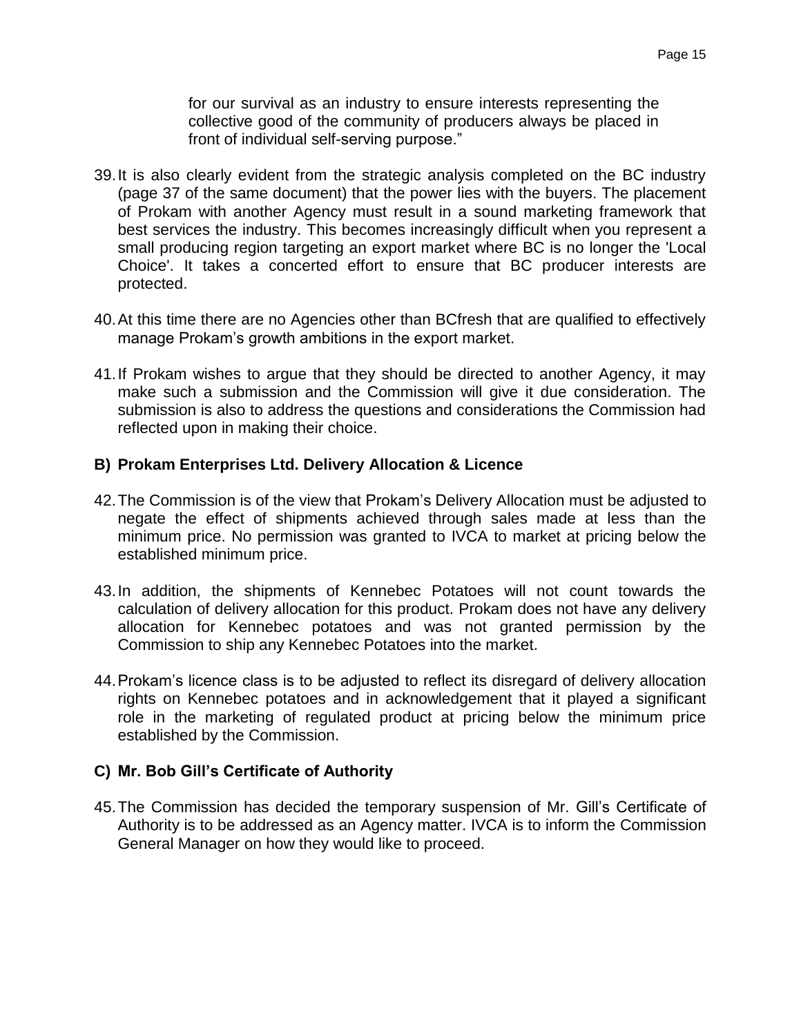for our survival as an industry to ensure interests representing the collective good of the community of producers always be placed in front of individual self-serving purpose."

- 39.It is also clearly evident from the strategic analysis completed on the BC industry (page 37 of the same document) that the power lies with the buyers. The placement of Prokam with another Agency must result in a sound marketing framework that best services the industry. This becomes increasingly difficult when you represent a small producing region targeting an export market where BC is no longer the 'Local Choice'. It takes a concerted effort to ensure that BC producer interests are protected.
- 40.At this time there are no Agencies other than BCfresh that are qualified to effectively manage Prokam's growth ambitions in the export market.
- 41.If Prokam wishes to argue that they should be directed to another Agency, it may make such a submission and the Commission will give it due consideration. The submission is also to address the questions and considerations the Commission had reflected upon in making their choice.

### **B) Prokam Enterprises Ltd. Delivery Allocation & Licence**

- 42.The Commission is of the view that Prokam's Delivery Allocation must be adjusted to negate the effect of shipments achieved through sales made at less than the minimum price. No permission was granted to IVCA to market at pricing below the established minimum price.
- 43.In addition, the shipments of Kennebec Potatoes will not count towards the calculation of delivery allocation for this product. Prokam does not have any delivery allocation for Kennebec potatoes and was not granted permission by the Commission to ship any Kennebec Potatoes into the market.
- 44.Prokam's licence class is to be adjusted to reflect its disregard of delivery allocation rights on Kennebec potatoes and in acknowledgement that it played a significant role in the marketing of regulated product at pricing below the minimum price established by the Commission.

### **C) Mr. Bob Gill's Certificate of Authority**

45.The Commission has decided the temporary suspension of Mr. Gill's Certificate of Authority is to be addressed as an Agency matter. IVCA is to inform the Commission General Manager on how they would like to proceed.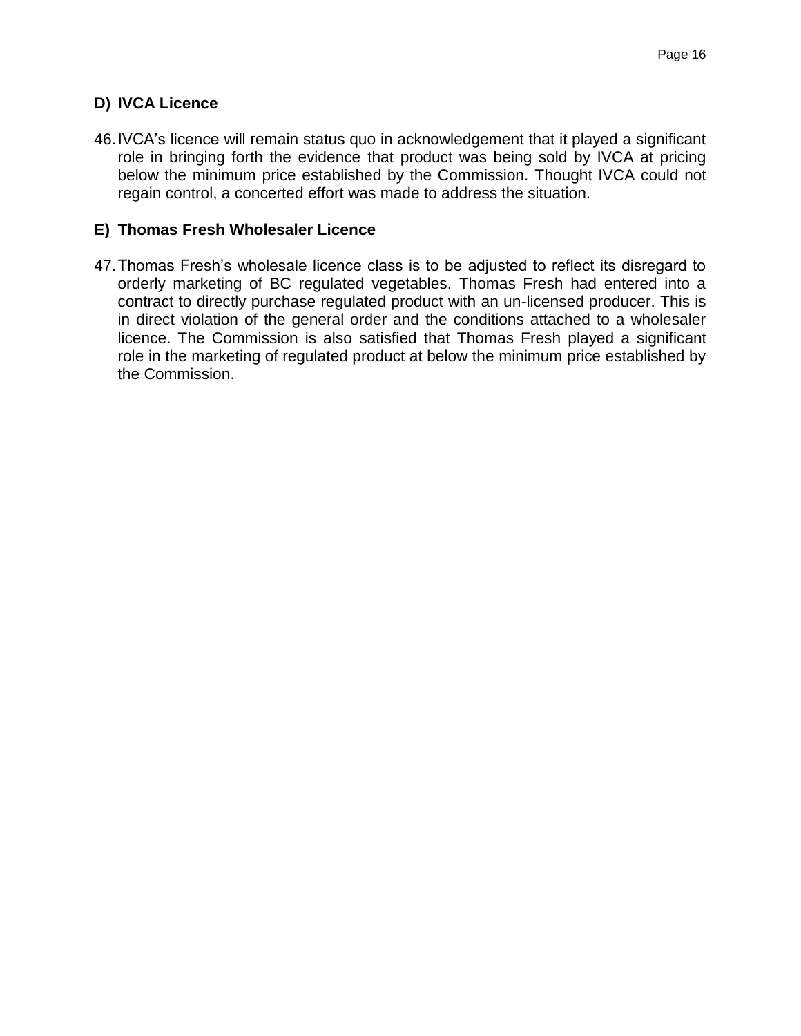# **D) IVCA Licence**

46.IVCA's licence will remain status quo in acknowledgement that it played a significant role in bringing forth the evidence that product was being sold by IVCA at pricing below the minimum price established by the Commission. Thought IVCA could not regain control, a concerted effort was made to address the situation.

## **E) Thomas Fresh Wholesaler Licence**

47.Thomas Fresh's wholesale licence class is to be adjusted to reflect its disregard to orderly marketing of BC regulated vegetables. Thomas Fresh had entered into a contract to directly purchase regulated product with an un-licensed producer. This is in direct violation of the general order and the conditions attached to a wholesaler licence. The Commission is also satisfied that Thomas Fresh played a significant role in the marketing of regulated product at below the minimum price established by the Commission.